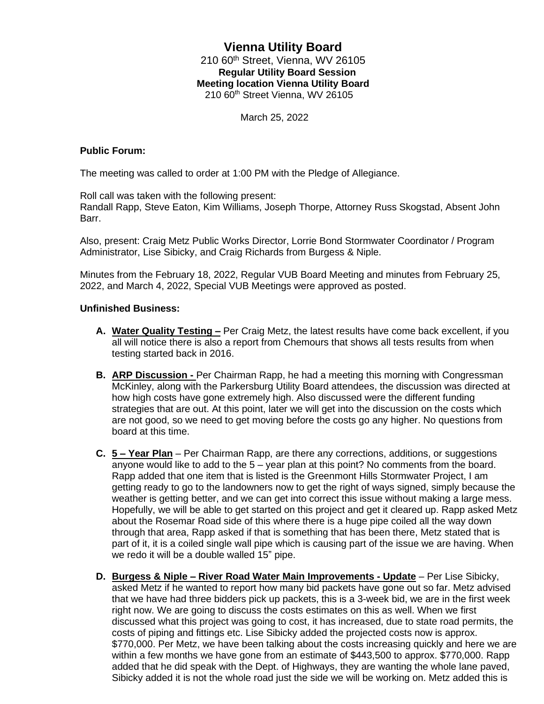## **Vienna Utility Board** 210 60<sup>th</sup> Street, Vienna, WV 26105 **Regular Utility Board Session Meeting location Vienna Utility Board** 210 60th Street Vienna, WV 26105

March 25, 2022

## **Public Forum:**

The meeting was called to order at 1:00 PM with the Pledge of Allegiance.

Roll call was taken with the following present:

Randall Rapp, Steve Eaton, Kim Williams, Joseph Thorpe, Attorney Russ Skogstad, Absent John Barr.

Also, present: Craig Metz Public Works Director, Lorrie Bond Stormwater Coordinator / Program Administrator, Lise Sibicky, and Craig Richards from Burgess & Niple.

Minutes from the February 18, 2022, Regular VUB Board Meeting and minutes from February 25, 2022, and March 4, 2022, Special VUB Meetings were approved as posted.

## **Unfinished Business:**

- **A. Water Quality Testing –** Per Craig Metz, the latest results have come back excellent, if you all will notice there is also a report from Chemours that shows all tests results from when testing started back in 2016.
- **B. ARP Discussion -** Per Chairman Rapp, he had a meeting this morning with Congressman McKinley, along with the Parkersburg Utility Board attendees, the discussion was directed at how high costs have gone extremely high. Also discussed were the different funding strategies that are out. At this point, later we will get into the discussion on the costs which are not good, so we need to get moving before the costs go any higher. No questions from board at this time.
- **C. 5 – Year Plan** Per Chairman Rapp, are there any corrections, additions, or suggestions anyone would like to add to the 5 – year plan at this point? No comments from the board. Rapp added that one item that is listed is the Greenmont Hills Stormwater Project, I am getting ready to go to the landowners now to get the right of ways signed, simply because the weather is getting better, and we can get into correct this issue without making a large mess. Hopefully, we will be able to get started on this project and get it cleared up. Rapp asked Metz about the Rosemar Road side of this where there is a huge pipe coiled all the way down through that area, Rapp asked if that is something that has been there, Metz stated that is part of it, it is a coiled single wall pipe which is causing part of the issue we are having. When we redo it will be a double walled 15" pipe.
- **D. Burgess & Niple – River Road Water Main Improvements - Update** Per Lise Sibicky, asked Metz if he wanted to report how many bid packets have gone out so far. Metz advised that we have had three bidders pick up packets, this is a 3-week bid, we are in the first week right now. We are going to discuss the costs estimates on this as well. When we first discussed what this project was going to cost, it has increased, due to state road permits, the costs of piping and fittings etc. Lise Sibicky added the projected costs now is approx. \$770,000. Per Metz, we have been talking about the costs increasing quickly and here we are within a few months we have gone from an estimate of \$443,500 to approx. \$770,000. Rapp added that he did speak with the Dept. of Highways, they are wanting the whole lane paved, Sibicky added it is not the whole road just the side we will be working on. Metz added this is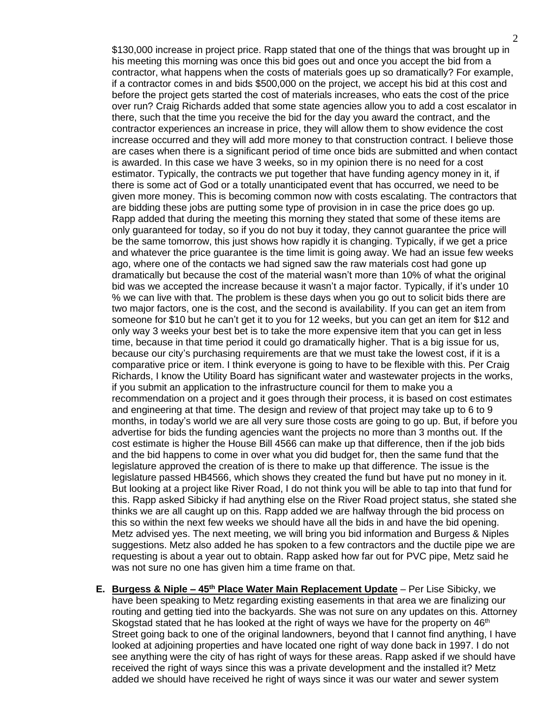\$130,000 increase in project price. Rapp stated that one of the things that was brought up in his meeting this morning was once this bid goes out and once you accept the bid from a contractor, what happens when the costs of materials goes up so dramatically? For example, if a contractor comes in and bids \$500,000 on the project, we accept his bid at this cost and before the project gets started the cost of materials increases, who eats the cost of the price over run? Craig Richards added that some state agencies allow you to add a cost escalator in there, such that the time you receive the bid for the day you award the contract, and the contractor experiences an increase in price, they will allow them to show evidence the cost increase occurred and they will add more money to that construction contract. I believe those are cases when there is a significant period of time once bids are submitted and when contact is awarded. In this case we have 3 weeks, so in my opinion there is no need for a cost estimator. Typically, the contracts we put together that have funding agency money in it, if there is some act of God or a totally unanticipated event that has occurred, we need to be given more money. This is becoming common now with costs escalating. The contractors that are bidding these jobs are putting some type of provision in in case the price does go up. Rapp added that during the meeting this morning they stated that some of these items are only guaranteed for today, so if you do not buy it today, they cannot guarantee the price will be the same tomorrow, this just shows how rapidly it is changing. Typically, if we get a price and whatever the price guarantee is the time limit is going away. We had an issue few weeks ago, where one of the contacts we had signed saw the raw materials cost had gone up dramatically but because the cost of the material wasn't more than 10% of what the original bid was we accepted the increase because it wasn't a major factor. Typically, if it's under 10 % we can live with that. The problem is these days when you go out to solicit bids there are two major factors, one is the cost, and the second is availability. If you can get an item from someone for \$10 but he can't get it to you for 12 weeks, but you can get an item for \$12 and only way 3 weeks your best bet is to take the more expensive item that you can get in less time, because in that time period it could go dramatically higher. That is a big issue for us, because our city's purchasing requirements are that we must take the lowest cost, if it is a comparative price or item. I think everyone is going to have to be flexible with this. Per Craig Richards, I know the Utility Board has significant water and wastewater projects in the works, if you submit an application to the infrastructure council for them to make you a recommendation on a project and it goes through their process, it is based on cost estimates and engineering at that time. The design and review of that project may take up to 6 to 9 months, in today's world we are all very sure those costs are going to go up. But, if before you advertise for bids the funding agencies want the projects no more than 3 months out. If the cost estimate is higher the House Bill 4566 can make up that difference, then if the job bids and the bid happens to come in over what you did budget for, then the same fund that the legislature approved the creation of is there to make up that difference. The issue is the legislature passed HB4566, which shows they created the fund but have put no money in it. But looking at a project like River Road, I do not think you will be able to tap into that fund for this. Rapp asked Sibicky if had anything else on the River Road project status, she stated she thinks we are all caught up on this. Rapp added we are halfway through the bid process on this so within the next few weeks we should have all the bids in and have the bid opening. Metz advised yes. The next meeting, we will bring you bid information and Burgess & Niples suggestions. Metz also added he has spoken to a few contractors and the ductile pipe we are requesting is about a year out to obtain. Rapp asked how far out for PVC pipe, Metz said he was not sure no one has given him a time frame on that.

**E. Burgess & Niple – 45th Place Water Main Replacement Update** – Per Lise Sibicky, we have been speaking to Metz regarding existing easements in that area we are finalizing our routing and getting tied into the backyards. She was not sure on any updates on this. Attorney Skogstad stated that he has looked at the right of ways we have for the property on  $46<sup>th</sup>$ Street going back to one of the original landowners, beyond that I cannot find anything, I have looked at adjoining properties and have located one right of way done back in 1997. I do not see anything were the city of has right of ways for these areas. Rapp asked if we should have received the right of ways since this was a private development and the installed it? Metz added we should have received he right of ways since it was our water and sewer system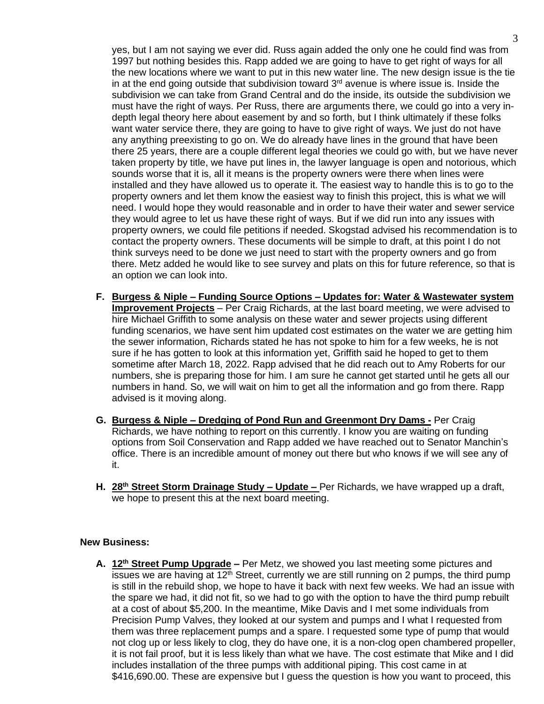yes, but I am not saying we ever did. Russ again added the only one he could find was from 1997 but nothing besides this. Rapp added we are going to have to get right of ways for all the new locations where we want to put in this new water line. The new design issue is the tie in at the end going outside that subdivision toward  $3<sup>rd</sup>$  avenue is where issue is. Inside the subdivision we can take from Grand Central and do the inside, its outside the subdivision we must have the right of ways. Per Russ, there are arguments there, we could go into a very indepth legal theory here about easement by and so forth, but I think ultimately if these folks want water service there, they are going to have to give right of ways. We just do not have any anything preexisting to go on. We do already have lines in the ground that have been there 25 years, there are a couple different legal theories we could go with, but we have never taken property by title, we have put lines in, the lawyer language is open and notorious, which sounds worse that it is, all it means is the property owners were there when lines were installed and they have allowed us to operate it. The easiest way to handle this is to go to the property owners and let them know the easiest way to finish this project, this is what we will need. I would hope they would reasonable and in order to have their water and sewer service they would agree to let us have these right of ways. But if we did run into any issues with property owners, we could file petitions if needed. Skogstad advised his recommendation is to contact the property owners. These documents will be simple to draft, at this point I do not think surveys need to be done we just need to start with the property owners and go from there. Metz added he would like to see survey and plats on this for future reference, so that is an option we can look into.

- **F. Burgess & Niple – Funding Source Options – Updates for: Water & Wastewater system Improvement Projects** – Per Craig Richards, at the last board meeting, we were advised to hire Michael Griffith to some analysis on these water and sewer projects using different funding scenarios, we have sent him updated cost estimates on the water we are getting him the sewer information, Richards stated he has not spoke to him for a few weeks, he is not sure if he has gotten to look at this information yet, Griffith said he hoped to get to them sometime after March 18, 2022. Rapp advised that he did reach out to Amy Roberts for our numbers, she is preparing those for him. I am sure he cannot get started until he gets all our numbers in hand. So, we will wait on him to get all the information and go from there. Rapp advised is it moving along.
- **G. Burgess & Niple – Dredging of Pond Run and Greenmont Dry Dams -** Per Craig Richards, we have nothing to report on this currently. I know you are waiting on funding options from Soil Conservation and Rapp added we have reached out to Senator Manchin's office. There is an incredible amount of money out there but who knows if we will see any of it.
- **H. 28th Street Storm Drainage Study – Update –** Per Richards, we have wrapped up a draft, we hope to present this at the next board meeting.

## **New Business:**

**A. 12th Street Pump Upgrade –** Per Metz, we showed you last meeting some pictures and issues we are having at  $12<sup>th</sup>$  Street, currently we are still running on 2 pumps, the third pump is still in the rebuild shop, we hope to have it back with next few weeks. We had an issue with the spare we had, it did not fit, so we had to go with the option to have the third pump rebuilt at a cost of about \$5,200. In the meantime, Mike Davis and I met some individuals from Precision Pump Valves, they looked at our system and pumps and I what I requested from them was three replacement pumps and a spare. I requested some type of pump that would not clog up or less likely to clog, they do have one, it is a non-clog open chambered propeller, it is not fail proof, but it is less likely than what we have. The cost estimate that Mike and I did includes installation of the three pumps with additional piping. This cost came in at \$416,690.00. These are expensive but I guess the question is how you want to proceed, this